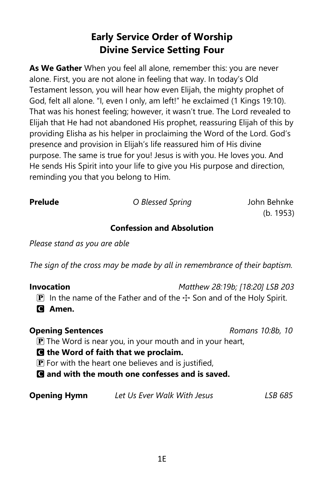# **Early Service Order of Worship Divine Service Setting Four**

**As We Gather** When you feel all alone, remember this: you are never alone. First, you are not alone in feeling that way. In today's Old Testament lesson, you will hear how even Elijah, the mighty prophet of God, felt all alone. "I, even I only, am left!" he exclaimed (1 Kings 19:10). That was his honest feeling; however, it wasn't true. The Lord revealed to Elijah that He had not abandoned His prophet, reassuring Elijah of this by providing Elisha as his helper in proclaiming the Word of the Lord. God's presence and provision in Elijah's life reassured him of His divine purpose. The same is true for you! Jesus is with you. He loves you. And He sends His Spirit into your life to give you His purpose and direction, reminding you that you belong to Him.

**Prelude** *O Blessed Spring* John Behnke

(b. 1953)

## **Confession and Absolution**

*Please stand as you are able*

*The sign of the cross may be made by all in remembrance of their baptism.*

| Invocation                                                                      | Matthew 28:19b; [18:20] LSB 203 |
|---------------------------------------------------------------------------------|---------------------------------|
| <b>P</b> In the name of the Father and of the $\pm$ Son and of the Holy Spirit. |                                 |
| <b>Q</b> Amen.                                                                  |                                 |

| <b>Opening Sentences</b> |                                                                     | Romans 10:8b, 10 |  |
|--------------------------|---------------------------------------------------------------------|------------------|--|
|                          | $\mathbf{P}$ The Word is near you, in your mouth and in your heart, |                  |  |
|                          | <b>O</b> the Word of faith that we proclaim.                        |                  |  |
|                          | $\mathbf{P}$ For with the heart one believes and is justified,      |                  |  |
|                          | <b>Q</b> and with the mouth one confesses and is saved.             |                  |  |
| <b>Opening Hymn</b>      | Let Us Ever Walk With Jesus                                         | LSB 685          |  |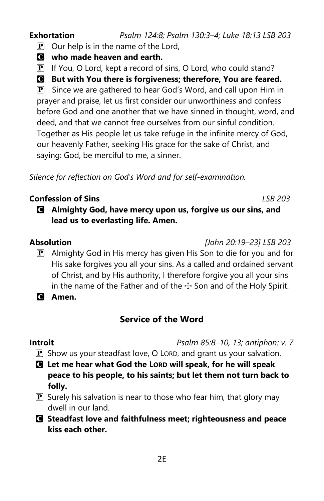# $\overline{P}$  Our help is in the name of the Lord, C **who made heaven and earth.**

 $\overline{P}$  If You, O Lord, kept a record of sins, O Lord, who could stand?

# C **But with You there is forgiveness; therefore, You are feared.**

**Exhortation** *Psalm 124:8; Psalm 130:3–4; Luke 18:13 LSB 203*

 $\mathbf{P}$  Since we are gathered to hear God's Word, and call upon Him in prayer and praise, let us first consider our unworthiness and confess before God and one another that we have sinned in thought, word, and deed, and that we cannot free ourselves from our sinful condition. Together as His people let us take refuge in the infinite mercy of God, our heavenly Father, seeking His grace for the sake of Christ, and saying: God, be merciful to me, a sinner.

*Silence for reflection on God's Word and for self-examination.*

# **Confession of Sins** *LSB 203*

C **Almighty God, have mercy upon us, forgive us our sins, and lead us to everlasting life. Amen.**

**Absolution** *[John 20:19–23] LSB 203*

- $\mathbf{P}$  Almighty God in His mercy has given His Son to die for you and for His sake forgives you all your sins. As a called and ordained servant of Christ, and by His authority, I therefore forgive you all your sins in the name of the Father and of the  $\pm$  Son and of the Holy Spirit.
- C **Amen.**

# **Service of the Word**

**Introit** *Psalm 85:8–10, 13; antiphon: v. 7*

- P Show us your steadfast love, O LORD, and grant us your salvation.
- C **Let me hear what God the LORD will speak, for he will speak peace to his people, to his saints; but let them not turn back to folly.**
- $\mathbf{P}$  Surely his salvation is near to those who fear him, that glory may dwell in our land.
- C **Steadfast love and faithfulness meet; righteousness and peace kiss each other.**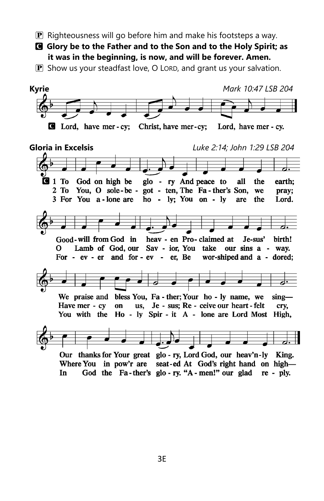- $\bf{P}$  Righteousness will go before him and make his footsteps a way.
- C **Glory be to the Father and to the Son and to the Holy Spirit; as it was in the beginning, is now, and will be forever. Amen.**
- **P** Show us your steadfast love, O LORD, and grant us your salvation.

**Kyrie** *Mark 10:47 LSB 204* C Lord, have mer - cy; Christ, have mer-cy; Lord, have mer - cy. **Gloria in Excelsis** *Luke 2:14; John 1:29 LSB 204* $\blacksquare$  1 To God on high be glo - ry And peace to all the earth; 2 To You, O sole-be - got - ten, The Fa-ther's Son, we pray; ho - ly; You on - ly 3 For You a-lone are are the Lord. Good-will from God in heav - en Pro-claimed at Je-sus' birth! Lamb of God, our Sav - ior, You take our sins a - way. 0 For - ev - er and for - ev - er, Be wor-shiped and a - dored; We praise and bless You, Fa - ther; Your ho - ly name, we  $\sin \theta -$ Have mer - cy on us, Je - sus; Re - ceive our heart - felt cry, You with the Ho - ly Spir - it A - lone are Lord Most High, Our thanks for Your great glo - ry, Lord God, our heav'n-ly King. Where You in pow'r are seat-ed At God's right hand on high-God the Fa-ther's glo-ry. "A-men!" our glad re-ply. In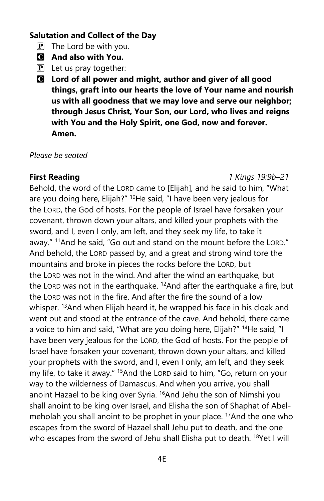### **Salutation and Collect of the Day**

- $\mathbf{P}$  The Lord be with you.
- C **And also with You.**
- $\mathbf{P}$  Let us pray together:
- C **Lord of all power and might, author and giver of all good things, graft into our hearts the love of Your name and nourish us with all goodness that we may love and serve our neighbor; through Jesus Christ, Your Son, our Lord, who lives and reigns with You and the Holy Spirit, one God, now and forever. Amen.**

### *Please be seated*

### **First Reading** *1 Kings 19:9b–21*

Behold, the word of the LORD came to [Elijah], and he said to him, "What are you doing here, Elijah?" <sup>10</sup>He said, "I have been very jealous for the LORD, the God of hosts. For the people of Israel have forsaken your covenant, thrown down your altars, and killed your prophets with the sword, and I, even I only, am left, and they seek my life, to take it away." <sup>11</sup>And he said, "Go out and stand on the mount before the LORD." And behold, the LORD passed by, and a great and strong wind tore the mountains and broke in pieces the rocks before the LORD, but the LORD was not in the wind. And after the wind an earthquake, but the LORD was not in the earthquake.  $12$ And after the earthquake a fire, but the LORD was not in the fire. And after the fire the sound of a low whisper. <sup>13</sup>And when Elijah heard it, he wrapped his face in his cloak and went out and stood at the entrance of the cave. And behold, there came a voice to him and said, "What are you doing here, Elijah?" <sup>14</sup>He said, "I have been very jealous for the LORD, the God of hosts. For the people of Israel have forsaken your covenant, thrown down your altars, and killed your prophets with the sword, and I, even I only, am left, and they seek my life, to take it away." <sup>15</sup> And the LORD said to him, "Go, return on your way to the wilderness of Damascus. And when you arrive, you shall anoint Hazael to be king over Syria. <sup>16</sup>And Jehu the son of Nimshi you shall anoint to be king over Israel, and Elisha the son of Shaphat of Abelmeholah you shall anoint to be prophet in your place. <sup>17</sup>And the one who escapes from the sword of Hazael shall Jehu put to death, and the one who escapes from the sword of Jehu shall Elisha put to death. <sup>18</sup>Yet I will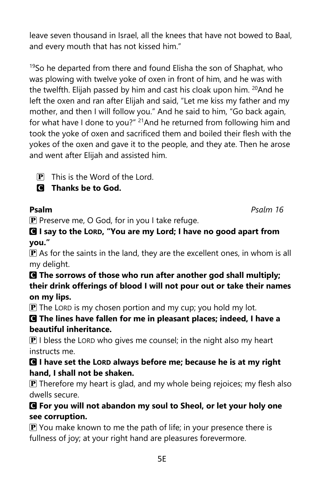5E

leave seven thousand in Israel, all the knees that have not bowed to Baal, and every mouth that has not kissed him."

<sup>19</sup>So he departed from there and found Elisha the son of Shaphat, who was plowing with twelve yoke of oxen in front of him, and he was with the twelfth. Elijah passed by him and cast his cloak upon him. <sup>20</sup>And he left the oxen and ran after Elijah and said, "Let me kiss my father and my mother, and then I will follow you." And he said to him, "Go back again, for what have I done to you?" <sup>21</sup>And he returned from following him and took the yoke of oxen and sacrificed them and boiled their flesh with the yokes of the oxen and gave it to the people, and they ate. Then he arose and went after Elijah and assisted him.

 $\overline{P}$  This is the Word of the Lord.

C **Thanks be to God.**

 $\mathbf P$  Preserve me, O God, for in you I take refuge.

C **I say to the LORD, "You are my Lord; I have no good apart from you."**

 $\mathbf P$  As for the saints in the land, they are the excellent ones, in whom is all my delight.

## C **The sorrows of those who run after another god shall multiply; their drink offerings of blood I will not pour out or take their names on my lips.**

 $\mathbf{P}$  The LORD is my chosen portion and my cup; you hold my lot.

# C **The lines have fallen for me in pleasant places; indeed, I have a beautiful inheritance.**

 $\mathbf{P}$  I bless the LORD who gives me counsel; in the night also my heart instructs me.

# C **I have set the LORD always before me; because he is at my right hand, I shall not be shaken.**

 $\mathbf P$  Therefore my heart is glad, and my whole being rejoices; my flesh also dwells secure.

# C **For you will not abandon my soul to Sheol, or let your holy one see corruption.**

 $\mathbf{P}$  You make known to me the path of life; in your presence there is fullness of joy; at your right hand are pleasures forevermore.

**Psalm** *Psalm 16*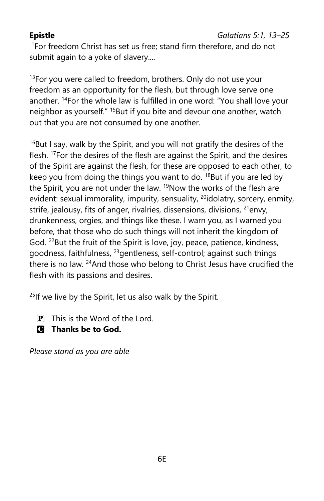<sup>1</sup>For freedom Christ has set us free; stand firm therefore, and do not submit again to a yoke of slavery....

 $13$ For you were called to freedom, brothers. Only do not use your freedom as an opportunity for the flesh, but through love serve one another. <sup>14</sup>For the whole law is fulfilled in one word: "You shall love your neighbor as yourself." <sup>15</sup>But if you bite and devour one another, watch out that you are not consumed by one another.

 $16$ But I say, walk by the Spirit, and you will not gratify the desires of the flesh. <sup>17</sup>For the desires of the flesh are against the Spirit, and the desires of the Spirit are against the flesh, for these are opposed to each other, to keep you from doing the things you want to do.  $18$ But if you are led by the Spirit, you are not under the law. <sup>19</sup>Now the works of the flesh are evident: sexual immorality, impurity, sensuality, <sup>20</sup>idolatry, sorcery, enmity, strife, jealousy, fits of anger, rivalries, dissensions, divisions, <sup>21</sup>envy, drunkenness, orgies, and things like these. I warn you, as I warned you before, that those who do such things will not inherit the kingdom of God. <sup>22</sup>But the fruit of the Spirit is love, joy, peace, patience, kindness, goodness, faithfulness, <sup>23</sup>gentleness, self-control; against such things there is no law. <sup>24</sup>And those who belong to Christ Jesus have crucified the flesh with its passions and desires.

 $25$ If we live by the Spirit, let us also walk by the Spirit.

- $\overline{P}$  This is the Word of the Lord.
- C **Thanks be to God.**

*Please stand as you are able*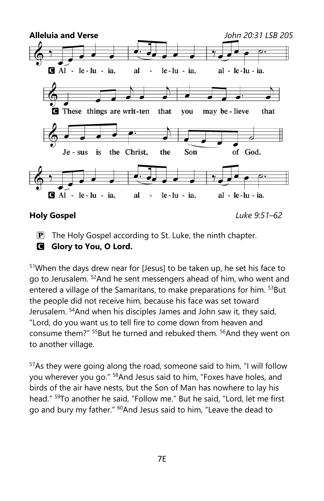

**Holy Gospel** *Luke 9:51–62*

**P** The Holy Gospel according to St. Luke, the ninth chapter.

**G** Glory to You, O Lord.

<sup>51</sup>When the days drew near for [Jesus] to be taken up, he set his face to go to Jerusalem. <sup>52</sup>And he sent messengers ahead of him, who went and entered a village of the Samaritans, to make preparations for him. <sup>53</sup>But the people did not receive him, because his face was set toward Jerusalem. <sup>54</sup>And when his disciples James and John saw it, they said, "Lord, do you want us to tell fire to come down from heaven and consume them?" <sup>55</sup>But he turned and rebuked them. <sup>56</sup>And they went on to another village.

<sup>57</sup>As they were going along the road, someone said to him, "I will follow you wherever you go." <sup>58</sup>And Jesus said to him, "Foxes have holes, and birds of the air have nests, but the Son of Man has nowhere to lay his head." <sup>59</sup>To another he said, "Follow me." But he said, "Lord, let me first go and bury my father." <sup>60</sup>And Jesus said to him, "Leave the dead to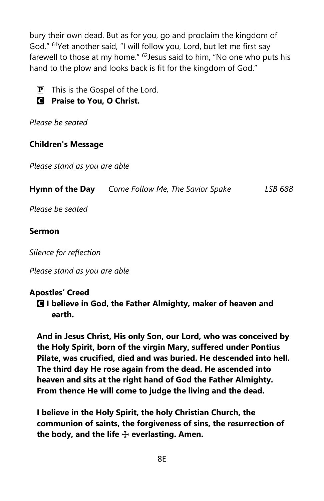bury their own dead. But as for you, go and proclaim the kingdom of God." <sup>61</sup>Yet another said, "I will follow you, Lord, but let me first say farewell to those at my home." <sup>62</sup> Jesus said to him, "No one who puts his hand to the plow and looks back is fit for the kingdom of God."

 $\overline{P}$  This is the Gospel of the Lord.

# C **Praise to You, O Christ.**

*Please be seated*

## **Children's Message**

*Please stand as you are able*

| Hymn of the Day | Come Follow Me, The Savior Spake | LSB 688 |
|-----------------|----------------------------------|---------|
|-----------------|----------------------------------|---------|

*Please be seated*

### **Sermon**

*Silence for reflection*

*Please stand as you are able*

### **Apostles' Creed**

C **I believe in God, the Father Almighty, maker of heaven and earth.**

**And in Jesus Christ, His only Son, our Lord, who was conceived by the Holy Spirit, born of the virgin Mary, suffered under Pontius Pilate, was crucified, died and was buried. He descended into hell. The third day He rose again from the dead. He ascended into heaven and sits at the right hand of God the Father Almighty. From thence He will come to judge the living and the dead.** 

**I believe in the Holy Spirit, the holy Christian Church, the communion of saints, the forgiveness of sins, the resurrection of**  the body, and the life  $\div$  everlasting. Amen.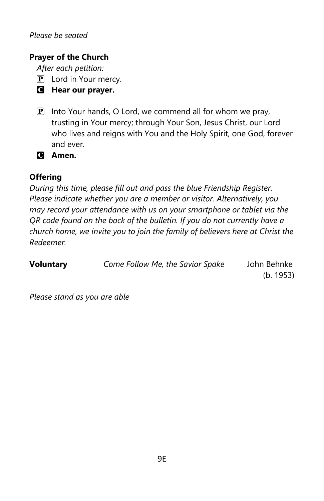### *Please be seated*

## **Prayer of the Church**

*After each petition:*

 $\left| \mathbf{P} \right|$  Lord in Your mercy.

- C **Hear our prayer.**
- $\mathbf{P}$  Into Your hands, O Lord, we commend all for whom we pray, trusting in Your mercy; through Your Son, Jesus Christ, our Lord who lives and reigns with You and the Holy Spirit, one God, forever and ever.

C **Amen.**

## **Offering**

*During this time, please fill out and pass the blue Friendship Register. Please indicate whether you are a member or visitor. Alternatively, you may record your attendance with us on your smartphone or tablet via the QR code found on the back of the bulletin. If you do not currently have a church home, we invite you to join the family of believers here at Christ the Redeemer.*

| <b>Voluntary</b> | Come Follow Me, the Savior Spake | John Behnke |
|------------------|----------------------------------|-------------|
|                  |                                  | (b. 1953)   |

*Please stand as you are able*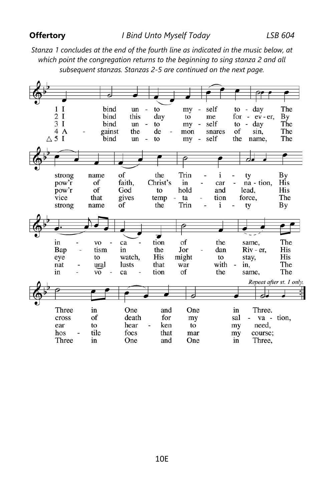### **Offertory**

*Stanza 1 concludes at the end of the fourth line as indicated in the music below, at which point the congregation returns to the beginning to sing stanza 2 and all subsequent stanzas. Stanzas 2-5 are continued on the next page.*

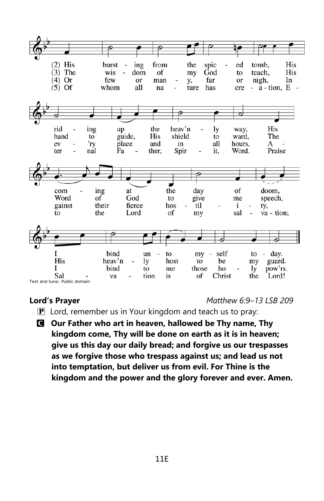

**Lord's Prayer** *Matthew 6:9–13 LSB 209*

- $\mathbf{P}$  Lord, remember us in Your kingdom and teach us to pray:
- C **Our Father who art in heaven, hallowed be Thy name, Thy kingdom come, Thy will be done on earth as it is in heaven; give us this day our daily bread; and forgive us our trespasses as we forgive those who trespass against us; and lead us not into temptation, but deliver us from evil. For Thine is the kingdom and the power and the glory forever and ever. Amen.**